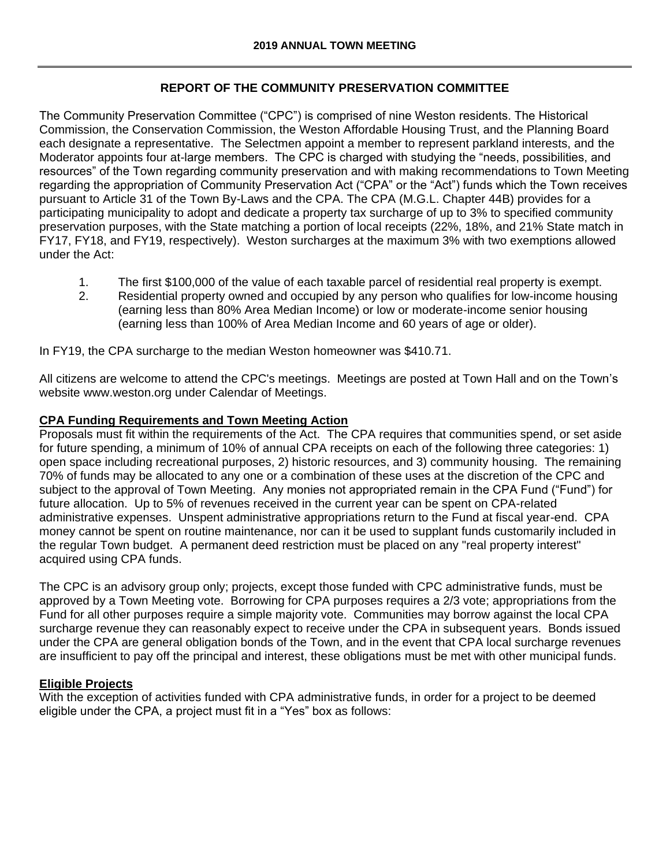# **REPORT OF THE COMMUNITY PRESERVATION COMMITTEE**

The Community Preservation Committee ("CPC") is comprised of nine Weston residents. The Historical Commission, the Conservation Commission, the Weston Affordable Housing Trust, and the Planning Board each designate a representative. The Selectmen appoint a member to represent parkland interests, and the Moderator appoints four at-large members. The CPC is charged with studying the "needs, possibilities, and resources" of the Town regarding community preservation and with making recommendations to Town Meeting regarding the appropriation of Community Preservation Act ("CPA" or the "Act") funds which the Town receives pursuant to Article 31 of the Town By-Laws and the CPA. The CPA (M.G.L. Chapter 44B) provides for a participating municipality to adopt and dedicate a property tax surcharge of up to 3% to specified community preservation purposes, with the State matching a portion of local receipts (22%, 18%, and 21% State match in FY17, FY18, and FY19, respectively). Weston surcharges at the maximum 3% with two exemptions allowed under the Act:

- 1. The first \$100,000 of the value of each taxable parcel of residential real property is exempt.
- 2. Residential property owned and occupied by any person who qualifies for low-income housing (earning less than 80% Area Median Income) or low or moderate-income senior housing (earning less than 100% of Area Median Income and 60 years of age or older).

In FY19, the CPA surcharge to the median Weston homeowner was \$410.71.

All citizens are welcome to attend the CPC's meetings. Meetings are posted at Town Hall and on the Town's website www.weston.org under Calendar of Meetings.

### **CPA Funding Requirements and Town Meeting Action**

Proposals must fit within the requirements of the Act. The CPA requires that communities spend, or set aside for future spending, a minimum of 10% of annual CPA receipts on each of the following three categories: 1) open space including recreational purposes, 2) historic resources, and 3) community housing. The remaining 70% of funds may be allocated to any one or a combination of these uses at the discretion of the CPC and subject to the approval of Town Meeting. Any monies not appropriated remain in the CPA Fund ("Fund") for future allocation. Up to 5% of revenues received in the current year can be spent on CPA-related administrative expenses. Unspent administrative appropriations return to the Fund at fiscal year-end. CPA money cannot be spent on routine maintenance, nor can it be used to supplant funds customarily included in the regular Town budget. A permanent deed restriction must be placed on any "real property interest" acquired using CPA funds.

The CPC is an advisory group only; projects, except those funded with CPC administrative funds, must be approved by a Town Meeting vote. Borrowing for CPA purposes requires a 2/3 vote; appropriations from the Fund for all other purposes require a simple majority vote. Communities may borrow against the local CPA surcharge revenue they can reasonably expect to receive under the CPA in subsequent years. Bonds issued under the CPA are general obligation bonds of the Town, and in the event that CPA local surcharge revenues are insufficient to pay off the principal and interest, these obligations must be met with other municipal funds.

### **Eligible Projects**

With the exception of activities funded with CPA administrative funds, in order for a project to be deemed eligible under the CPA, a project must fit in a "Yes" box as follows: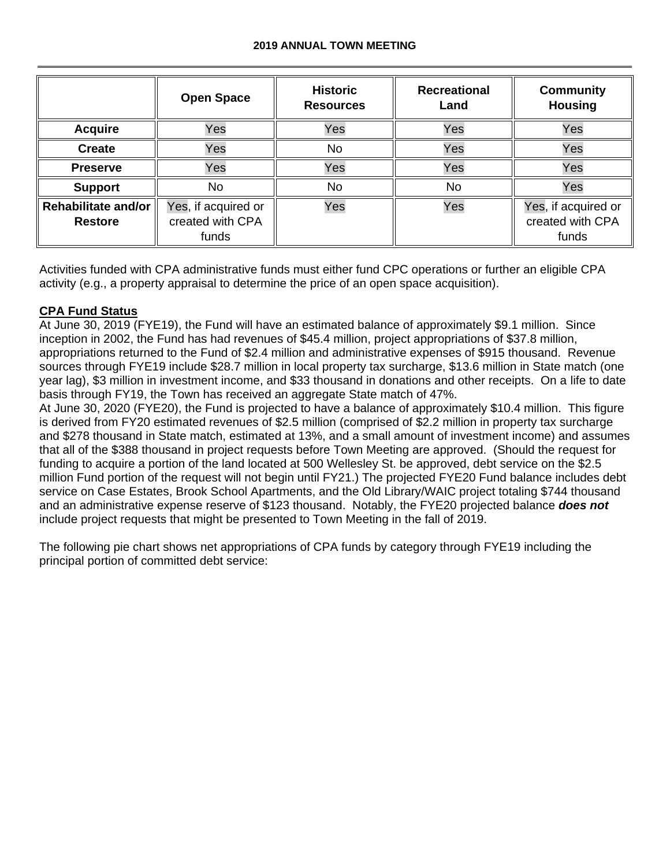#### **2019 ANNUAL TOWN MEETING**

|                                              | <b>Open Space</b>                                | <b>Historic</b><br><b>Resources</b> | <b>Recreational</b><br>Land | <b>Community</b><br><b>Housing</b>               |
|----------------------------------------------|--------------------------------------------------|-------------------------------------|-----------------------------|--------------------------------------------------|
| <b>Acquire</b>                               | Yes                                              | Yes                                 | Yes                         | Yes                                              |
| <b>Create</b>                                | Yes                                              | <b>No</b>                           | Yes                         | Yes                                              |
| <b>Preserve</b>                              | Yes                                              | Yes                                 | Yes                         | Yes                                              |
| <b>Support</b>                               | No                                               | No                                  | No                          | Yes                                              |
| <b>Rehabilitate and/or</b><br><b>Restore</b> | Yes, if acquired or<br>created with CPA<br>funds | Yes                                 | Yes                         | Yes, if acquired or<br>created with CPA<br>funds |

Activities funded with CPA administrative funds must either fund CPC operations or further an eligible CPA activity (e.g., a property appraisal to determine the price of an open space acquisition).

# **CPA Fund Status**

At June 30, 2019 (FYE19), the Fund will have an estimated balance of approximately \$9.1 million. Since inception in 2002, the Fund has had revenues of \$45.4 million, project appropriations of \$37.8 million, appropriations returned to the Fund of \$2.4 million and administrative expenses of \$915 thousand. Revenue sources through FYE19 include \$28.7 million in local property tax surcharge, \$13.6 million in State match (one year lag), \$3 million in investment income, and \$33 thousand in donations and other receipts. On a life to date basis through FY19, the Town has received an aggregate State match of 47%.

At June 30, 2020 (FYE20), the Fund is projected to have a balance of approximately \$10.4 million. This figure is derived from FY20 estimated revenues of \$2.5 million (comprised of \$2.2 million in property tax surcharge and \$278 thousand in State match, estimated at 13%, and a small amount of investment income) and assumes that all of the \$388 thousand in project requests before Town Meeting are approved. (Should the request for funding to acquire a portion of the land located at 500 Wellesley St. be approved, debt service on the \$2.5 million Fund portion of the request will not begin until FY21.) The projected FYE20 Fund balance includes debt service on Case Estates, Brook School Apartments, and the Old Library/WAIC project totaling \$744 thousand and an administrative expense reserve of \$123 thousand. Notably, the FYE20 projected balance *does not* include project requests that might be presented to Town Meeting in the fall of 2019.

The following pie chart shows net appropriations of CPA funds by category through FYE19 including the principal portion of committed debt service: